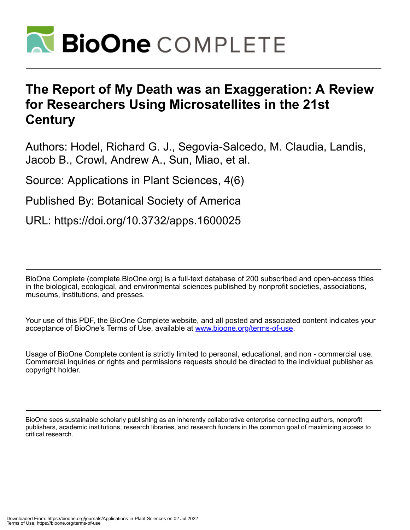

# **The Report of My Death was an Exaggeration: A Review for Researchers Using Microsatellites in the 21st Century**

Authors: Hodel, Richard G. J., Segovia-Salcedo, M. Claudia, Landis, Jacob B., Crowl, Andrew A., Sun, Miao, et al.

Source: Applications in Plant Sciences, 4(6)

Published By: Botanical Society of America

URL: https://doi.org/10.3732/apps.1600025

BioOne Complete (complete.BioOne.org) is a full-text database of 200 subscribed and open-access titles in the biological, ecological, and environmental sciences published by nonprofit societies, associations, museums, institutions, and presses.

Your use of this PDF, the BioOne Complete website, and all posted and associated content indicates your acceptance of BioOne's Terms of Use, available at www.bioone.org/terms-of-use.

Usage of BioOne Complete content is strictly limited to personal, educational, and non - commercial use. Commercial inquiries or rights and permissions requests should be directed to the individual publisher as copyright holder.

BioOne sees sustainable scholarly publishing as an inherently collaborative enterprise connecting authors, nonprofit publishers, academic institutions, research libraries, and research funders in the common goal of maximizing access to critical research.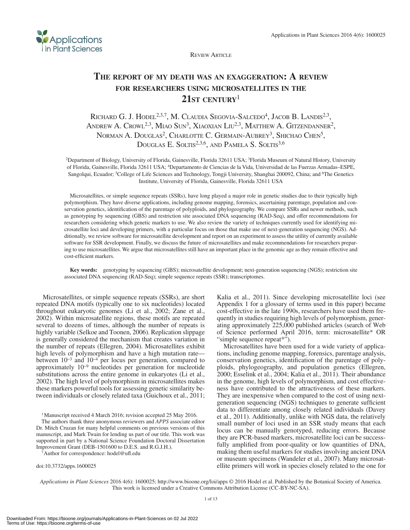

**REVIEW ARTICLE** 

## **The report of my death was an exaggeration: A review for researchers using microsatellites in the 21st century**<sup>1</sup>

RICHARD G. J. HODEL<sup>2,3,7</sup>, M. CLAUDIA SEGOVIA-SALCEDO<sup>4</sup>, JACOB B. LANDIS<sup>2,3</sup>, ANDREW A. CROWL<sup>2,3</sup>, MIAO SUN<sup>3</sup>, XIAOXIAN LIU<sup>2,3</sup>, MATTHEW A. GITZENDANNER<sup>2</sup>, NORMAN A. DOUGLAS<sup>2</sup>, CHARLOTTE C. GERMAIN-AUBREY<sup>3</sup>, SHICHAO CHEN<sup>5</sup>, DOUGLAS E. SOLTIS<sup>2,3,6</sup>, AND PAMELA S. SOLTIS<sup>3,6</sup>

2Department of Biology, University of Florida, Gainesville, Florida 32611 USA; 3Florida Museum of Natural History, University of Florida, Gainesville, Florida 32611 USA; 4Departamento de Ciencias de la Vida, Universidad de las Fuerzas Armadas–ESPE, Sangolqui, Ecuador; <sup>5</sup>College of Life Sciences and Technology, Tongji University, Shanghai 200092, China; and <sup>6</sup>The Genetics Institute, University of Florida, Gainesville, Florida 32611 USA

Microsatellites, or simple sequence repeats (SSRs), have long played a major role in genetic studies due to their typically high polymorphism. They have diverse applications, including genome mapping, forensics, ascertaining parentage, population and conservation genetics, identification of the parentage of polyploids, and phylogeography. We compare SSRs and newer methods, such as genotyping by sequencing (GBS) and restriction site associated DNA sequencing (RAD-Seq), and offer recommendations for researchers considering which genetic markers to use. We also review the variety of techniques currently used for identifying microsatellite loci and developing primers, with a particular focus on those that make use of next-generation sequencing (NGS). Additionally, we review software for microsatellite development and report on an experiment to assess the utility of currently available software for SSR development. Finally, we discuss the future of microsatellites and make recommendations for researchers preparing to use microsatellites. We argue that microsatellites still have an important place in the genomic age as they remain effective and cost-efficient markers.

**Key words:** genotyping by sequencing (GBS); microsatellite development; next-generation sequencing (NGS); restriction site associated DNA sequencing (RAD-Seq); simple sequence repeats (SSR); transcriptomes.

Microsatellites, or simple sequence repeats (SSRs), are short repeated DNA motifs (typically one to six nucleotides) located throughout eukaryotic genomes (Li et al., 2002; Zane et al., 2002). Within microsatellite regions, these motifs are repeated several to dozens of times, although the number of repeats is highly variable (Selkoe and Toonen, 2006). Replication slippage is generally considered the mechanism that creates variation in the number of repeats (Ellegren, 2004). Microsatellites exhibit high levels of polymorphism and have a high mutation rate between 10−3 and 10−4 per locus per generation, compared to approximately 10−9 nucleotides per generation for nucleotide substitutions across the entire genome in eukaryotes (Li et al., 2002). The high level of polymorphism in microsatellites makes these markers powerful tools for assessing genetic similarity between individuals or closely related taxa (Guichoux et al., 2011;

<sup>1</sup>Manuscript received 4 March 2016; revision accepted 25 May 2016.

The authors thank three anonymous reviewers and *APPS* associate editor Dr. Mitch Cruzan for many helpful comments on previous versions of this manuscript, and Mark Twain for lending us part of our title. This work was supported in part by a National Science Foundation Doctoral Dissertation Improvement Grant (DEB-1501600 to D.E.S. and R.G.J.H.).

7Author for correspondence: hodel@ufl.edu

doi:10.3732/apps.1600025

Kalia et al., 2011). Since developing microsatellite loci (see Appendix 1 for a glossary of terms used in this paper) became cost-effective in the late 1990s, researchers have used them frequently in studies requiring high levels of polymorphism, generating approximately 225,000 published articles (search of Web of Science performed April 2016, term: microsatellite\* OR "simple sequence repeat\*").

Microsatellites have been used for a wide variety of applications, including genome mapping, forensics, parentage analysis, conservation genetics, identification of the parentage of polyploids, phylogeography, and population genetics (Ellegren, 2000; Esselink et al., 2004; Kalia et al., 2011). Their abundance in the genome, high levels of polymorphism, and cost effectiveness have contributed to the attractiveness of these markers. They are inexpensive when compared to the cost of using nextgeneration sequencing (NGS) techniques to generate sufficient data to differentiate among closely related individuals (Davey et al., 2011). Additionally, unlike with NGS data, the relatively small number of loci used in an SSR study means that each locus can be manually genotyped, reducing errors. Because they are PCR-based markers, microsatellite loci can be successfully amplified from poor-quality or low quantities of DNA, making them useful markers for studies involving ancient DNA or museum specimens (Wandeler et al., 2007). Many microsatellite primers will work in species closely related to the one for

*Applications in Plant Sciences* 2016 4(6): 1600025; http://www.bioone.org/loi/apps © 2016 Hodel et al. Published by the Botanical Society of America. This work is licensed under a Creative Commons Attribution License (CC-BY-NC-SA).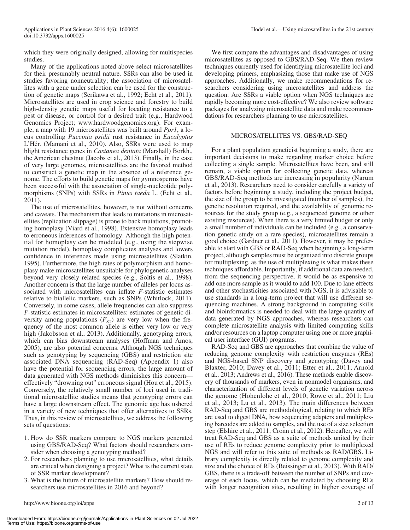which they were originally designed, allowing for multispecies studies.

Many of the applications noted above select microsatellites for their presumably neutral nature. SSRs can also be used in studies favoring nonneutrality; the association of microsatellites with a gene under selection can be used for the construction of genetic maps (Serikawa et al., 1992; Echt et al., 2011). Microsatellites are used in crop science and forestry to build high-density genetic maps useful for locating resistance to a pest or disease, or control for a desired trait (e.g., Hardwood Genomics Project; <www.hardwoodgenomics.org>). For example, a map with 19 microsatellites was built around *Ppr1*, a locus controlling *Puccinia psidii* rust resistance in *Eucalyptus* L'Hér. (Mamani et al., 2010). Also, SSRs were used to map blight resistance genes in *Castanea dentata* (Marshall) Borkh., the American chestnut (Jacobs et al., 2013). Finally, in the case of very large genomes, microsatellites are the favored method to construct a genetic map in the absence of a reference genome. The efforts to build genetic maps for gymnosperms have been successful with the association of single-nucleotide polymorphisms (SNPs) with SSRs in *Pinus taeda* L. (Echt et al., 2011).

The use of microsatellites, however, is not without concerns and caveats. The mechanism that leads to mutations in microsatellites (replication slippage) is prone to back mutations, promoting homoplasy (Viard et al., 1998). Extensive homoplasy leads to erroneous inferences of homology. Although the high potential for homoplasy can be modeled (e.g., using the stepwise mutation model), homoplasy complicates analyses and lowers confidence in inferences made using microsatellites (Slatkin, 1995). Furthermore, the high rates of polymorphism and homoplasy make microsatellites unsuitable for phylogenetic analyses beyond very closely related species (e.g., Soltis et al., 1998). Another concern is that the large number of alleles per locus associated with microsatellites can inflate *F*-statistic estimates relative to biallelic markers, such as SNPs (Whitlock, 2011). Conversely, in some cases, allele frequencies can also suppress *F*-statistic estimates in microsatellites: estimates of genetic diversity among populations  $(F_{ST})$  are very low when the frequency of the most common allele is either very low or very high (Jakobsson et al., 2013). Additionally, genotyping errors, which can bias downstream analyses (Hoffman and Amos, 2005), are also potential concerns. Although NGS techniques such as genotyping by sequencing (GBS) and restriction site associated DNA sequencing (RAD-Seq) (Appendix 1) also have the potential for sequencing errors, the large amount of data generated with NGS methods diminishes this concern effectively "drowning out" erroneous signal (Hou et al., 2015). Conversely, the relatively small number of loci used in traditional microsatellite studies means that genotyping errors can have a large downstream effect. The genomic age has ushered in a variety of new techniques that offer alternatives to SSRs. Thus, in this review of microsatellites, we address the following sets of questions:

- 1. How do SSR markers compare to NGS markers generated using GBS/RAD-Seq? What factors should researchers consider when choosing a genotyping method?
- 2. For researchers planning to use microsatellites, what details are critical when designing a project? What is the current state of SSR marker development?
- 3. What is the future of microsatellite markers? How should researchers use microsatellites in 2016 and beyond?

We first compare the advantages and disadvantages of using microsatellites as opposed to GBS/RAD-Seq. We then review techniques currently used for identifying microsatellite loci and developing primers, emphasizing those that make use of NGS approaches. Additionally, we make recommendations for researchers considering using microsatellites and address the question: Are SSRs a viable option when NGS techniques are rapidly becoming more cost-effective? We also review software packages for analyzing microsatellite data and make recommendations for researchers planning to use microsatellites.

#### MICROSATELLITES VS. GBS/RAD-SEQ

For a plant population geneticist beginning a study, there are important decisions to make regarding marker choice before collecting a single sample. Microsatellites have been, and still remain, a viable option for collecting genetic data, whereas GBS/RAD-Seq methods are increasing in popularity (Narum et al., 2013). Researchers need to consider carefully a variety of factors before beginning a study, including the project budget, the size of the group to be investigated (number of samples), the genetic resolution required, and the availability of genomic resources for the study group (e.g., a sequenced genome or other existing resources). When there is a very limited budget or only a small number of individuals can be included (e.g., a conservation genetic study on a rare species), microsatellites remain a good choice (Gardner et al., 2011). However, it may be preferable to start with GBS or RAD-Seq when beginning a long-term project, although samples must be organized into discrete groups for multiplexing, as the use of multiplexing is what makes these techniques affordable. Importantly, if additional data are needed, from the sequencing perspective, it would be as expensive to add one more sample as it would to add 100. Due to lane effects and other stochasticities associated with NGS, it is advisable to use standards in a long-term project that will use different sequencing machines. A strong background in computing skills and bioinformatics is needed to deal with the large quantity of data generated by NGS approaches, whereas researchers can complete microsatellite analysis with limited computing skills and/or resources on a laptop computer using one or more graphical user interface (GUI) programs.

RAD-Seq and GBS are approaches that combine the value of reducing genome complexity with restriction enzymes (REs) and NGS-based SNP discovery and genotyping (Davey and Blaxter, 2010; Davey et al., 2011; Etter et al., 2011; Arnold et al., 2013; Andrews et al., 2016). These methods enable discovery of thousands of markers, even in nonmodel organisms, and characterization of different levels of genetic variation across the genome (Hohenlohe et al., 2010; Rowe et al., 2011; Liu et al., 2013; Lu et al., 2013). The main differences between RAD-Seq and GBS are methodological, relating to which REs are used to digest DNA, how sequencing adapters and multiplexing barcodes are added to samples, and the use of a size selection step (Elshire et al., 2011; Cronn et al., 2012). Hereafter, we will treat RAD-Seq and GBS as a suite of methods united by their use of REs to reduce genome complexity prior to multiplexed NGS and will refer to this suite of methods as RAD/GBS. Library complexity is directly related to genome complexity and size and the choice of REs (Beissinger et al., 2013). With RAD/ GBS, there is a trade-off between the number of SNPs and coverage of each locus, which can be mediated by choosing REs with longer recognition sites, resulting in higher coverage of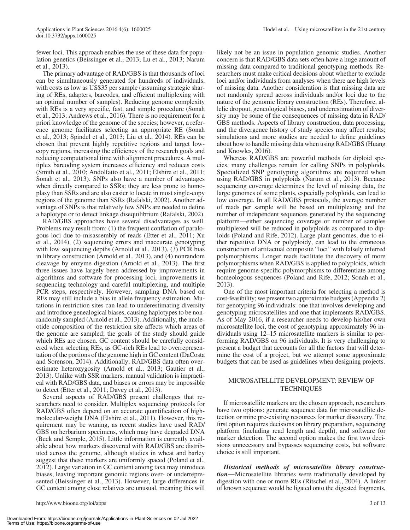fewer loci. This approach enables the use of these data for population genetics (Beissinger et al., 2013; Lu et al., 2013; Narum et al., 2013).

The primary advantage of RAD/GBS is that thousands of loci can be simultaneously generated for hundreds of individuals, with costs as low as US\$35 per sample (assuming strategic sharing of REs, adapters, barcodes, and efficient multiplexing with an optimal number of samples). Reducing genome complexity with REs is a very specific, fast, and simple procedure (Sonah et al., 2013; Andrews et al., 2016). There is no requirement for a priori knowledge of the genome of the species; however, a reference genome facilitates selecting an appropriate RE (Sonah et al., 2013; Spindel et al., 2013; Liu et al., 2014). REs can be chosen that prevent highly repetitive regions and target lowcopy regions, increasing the efficiency of the research goals and reducing computational time with alignment procedures. A multiplex barcoding system increases efficiency and reduces costs (Smith et al., 2010; Andolfatto et al., 2011; Elshire et al., 2011; Sonah et al., 2013). SNPs also have a number of advantages when directly compared to SSRs: they are less prone to homoplasy than SSRs and are also easier to locate in most single-copy regions of the genome than SSRs (Rafalski, 2002). Another advantage of SNPs is that relatively few SNPs are needed to define a haplotype or to detect linkage disequilibrium (Rafalski, 2002).

RAD/GBS approaches have several disadvantages as well. Problems may result from: (1) the frequent conflation of paralogous loci due to misassembly of reads (Etter et al., 2011; Xu et al., 2014), (2) sequencing errors and inaccurate genotyping with low sequencing depths (Arnold et al., 2013), (3) PCR bias in library construction (Arnold et al., 2013), and (4) nonrandom cleavage by enzyme digestion (Arnold et al., 2013). The first three issues have largely been addressed by improvements in algorithms and software for processing loci, improvements in sequencing technology and careful multiplexing, and multiple PCR steps, respectively. However, sampling DNA based on REs may still include a bias in allele frequency estimation. Mutations in restriction sites can lead to underestimating diversity and introduce genealogical biases, causing haplotypes to be nonrandomly sampled (Arnold et al., 2013). Additionally, the nucleotide composition of the restriction site affects which areas of the genome are sampled; the goals of the study should guide which REs are chosen. GC content should be carefully considered when selecting REs, as GC-rich REs lead to overrepresentation of the portions of the genome high in GC content (DaCosta and Sorenson, 2014). Additionally, RAD/GBS data often overestimate heterozygosity (Arnold et al., 2013; Gautier et al., 2013). Unlike with SSR markers, manual validation is impractical with RAD/GBS data, and biases or errors may be impossible to detect (Etter et al., 2011; Davey et al., 2013).

Several aspects of RAD/GBS present challenges that researchers need to consider. Multiplex sequencing protocols for RAD/GBS often depend on an accurate quantification of highmolecular-weight DNA (Elshire et al., 2011). However, this requirement may be waning, as recent studies have used RAD/ GBS on herbarium specimens, which may have degraded DNA (Beck and Semple, 2015). Little information is currently available about how markers discovered with RAD/GBS are distributed across the genome, although studies in wheat and barley suggest that these markers are uniformly spaced (Poland et al., 2012). Large variation in GC content among taxa may introduce biases, leaving important genomic regions over- or underrepresented (Beissinger et al., 2013). However, large differences in GC content among close relatives are unusual, meaning this will

likely not be an issue in population genomic studies. Another concern is that RAD/GBS data sets often have a huge amount of missing data compared to traditional genotyping methods. Researchers must make critical decisions about whether to exclude loci and/or individuals from analyses when there are high levels of missing data. Another consideration is that missing data are not randomly spread across individuals and/or loci due to the nature of the genomic library construction (REs). Therefore, allelic dropout, geneological biases, and underestimation of diversity may be some of the consequences of missing data in RAD/ GBS methods. Aspects of library construction, data processing, and the divergence history of study species may affect results; simulations and more studies are needed to define guidelines about how to handle missing data when using RAD/GBS (Huang and Knowles, 2016).

Whereas RAD/GBS are powerful methods for diploid species, many challenges remain for calling SNPs in polyploids. Specialized SNP genotyping algorithms are required when using RAD/GBS in polyploids (Narum et al., 2013). Because sequencing coverage determines the level of missing data, the large genomes of some plants, especially polyploids, can lead to low coverage. In all RAD/GBS protocols, the average number of reads per sample will be based on multiplexing and the number of independent sequences generated by the sequencing platform—either sequencing coverage or number of samples multiplexed will be reduced in polyploids as compared to diploids (Poland and Rife, 2012). Large plant genomes, due to either repetitive DNA or polyploidy, can lead to the erroneous construction of artifactual composite "loci" with falsely inferred polymorphisms. Longer reads facilitate the discovery of more polymorphisms when RAD/GBS is applied to polyploids, which require genome-specific polymorphisms to differentiate among homeologous sequences (Poland and Rife, 2012; Sonah et al., 2013).

One of the most important criteria for selecting a method is cost-feasibility; we present two approximate budgets (Appendix 2) for genotyping 96 individuals: one that involves developing and genotyping microsatellites and one that implements RAD/GBS. As of May 2016, if a researcher needs to develop his/her own microsatellite loci, the cost of genotyping approximately 96 individuals using 12–15 microsatellite markers is similar to performing RAD/GBS on 96 individuals. It is very challenging to present a budget that accounts for all the factors that will determine the cost of a project, but we attempt some approximate budgets that can be used as guidelines when designing projects.

### MICROSATELLITE DEVELOPMENT: REVIEW OF **TECHNIQUES**

If microsatellite markers are the chosen approach, researchers have two options: generate sequence data for microsatellite detection or mine pre-existing resources for marker discovery. The first option requires decisions on library preparation, sequencing platform (including read length and depth), and software for marker detection. The second option makes the first two decisions unnecessary and bypasses sequencing costs, but software choice is still important.

*Historical methods of microsatellite library construction***—**Microsatellite libraries were traditionally developed by digestion with one or more REs (Ritschel et al., 2004). A linker of known sequence would be ligated onto the digested fragments,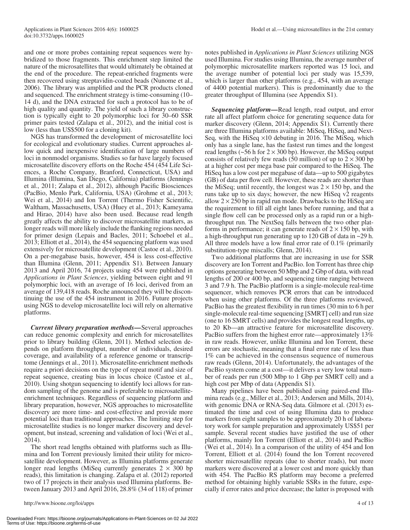and one or more probes containing repeat sequences were hybridized to those fragments. This enrichment step limited the nature of the microsatellites that would ultimately be obtained at the end of the procedure. The repeat-enriched fragments were then recovered using streptavidin-coated beads (Nunome et al., 2006). The library was amplified and the PCR products cloned and sequenced. The enrichment strategy is time-consuming (10– 14 d), and the DNA extracted for such a protocol has to be of high quality and quantity. The yield of such a library construction is typically eight to 20 polymorphic loci for 30–60 SSR primer pairs tested (Zalapa et al., 2012), and the initial cost is low (less than US\$500 for a cloning kit).

NGS has transformed the development of microsatellite loci for ecological and evolutionary studies. Current approaches allow quick and inexpensive identification of large numbers of loci in nonmodel organisms. Studies so far have largely focused microsatellite discovery efforts on the Roche 454 (454 Life Sciences, a Roche Company, Branford, Connecticut, USA) and Illumina (Illumina, San Diego, California) platforms (Jennings et al., 2011; Zalapa et al., 2012), although Pacific Biosciences (PacBio, Menlo Park, California, USA) (Grohme et al., 2013; Wei et al., 2014) and Ion Torrent (Thermo Fisher Scientific, Waltham, Massachusetts, USA) (Huey et al., 2013; Kameyama and Hirao, 2014) have also been used. Because read length greatly affects the ability to discover microsatellite markers, as longer reads will more likely include the flanking regions needed for primer design (Lepais and Bacles, 2011; Schoebel et al., 2013; Elliott et al., 2014), the 454 sequencing platform was used extensively for microsatellite development (Castoe et al., 2010). On a per-megabase basis, however, 454 is less cost-effective than Illumina (Glenn, 2011; [Appendix S1\)](http://www.bioone.org/doi/suppl/10.3732/apps.1600025/suppl_file/apps.1600025_s1.docx). Between January 2013 and April 2016, 74 projects using 454 were published in *Applications in Plant Sciences*, yielding between eight and 91 polymorphic loci, with an average of 16 loci, derived from an average of 139,418 reads. Roche announced they will be discontinuing the use of the 454 instrument in 2016. Future projects using NGS to develop microsatellite loci will rely on alternative platforms.

*Current library preparation methods***—**Several approaches can reduce genomic complexity and enrich for microsatellites prior to library building (Glenn, 2011). Method selection depends on platform throughput, number of individuals, desired coverage, and availability of a reference genome or transcriptome (Jennings et al., 2011). Microsatellite-enrichment methods require a priori decisions on the type of repeat motif and size of repeat sequence, creating bias in locus choice (Castoe et al., 2010). Using shotgun sequencing to identify loci allows for random sampling of the genome and is preferable to microsatelliteenrichment techniques. Regardless of sequencing platform and library preparation, however, NGS approaches to microsatellite discovery are more time- and cost-effective and provide more potential loci than traditional approaches. The limiting step for microsatellite studies is no longer marker discovery and development, but instead, screening and validation of loci (Wei et al., 2014).

The short read lengths obtained with platforms such as Illumina and Ion Torrent previously limited their utility for microsatellite development. However, as Illumina platforms generate longer read lengths (MiSeq currently generates  $2 \times 300$  bp reads), this limitation is changing. Zalapa et al. (2012) reported two of 17 projects in their analysis used Illumina platforms. Between January 2013 and April 2016, 28.8% (34 of 118) of primer notes published in *Applications in Plant Sciences* utilizing NGS used Illumina. For studies using Illumina, the average number of polymorphic microsatellite markers reported was 15 loci, and the average number of potential loci per study was 15,539, which is larger than other platforms (e.g., 454, with an average of 4400 potential markers). This is predominantly due to the greater throughput of Illumina (see [Appendix S1\)](http://www.bioone.org/doi/suppl/10.3732/apps.1600025/suppl_file/apps.1600025_s1.docx).

*Sequencing platform***—**Read length, read output, and error rate all affect platform choice for generating sequence data for marker discovery (Glenn, 2014; [Appendix S1\)](http://www.bioone.org/doi/suppl/10.3732/apps.1600025/suppl_file/apps.1600025_s1.docx). Currently there are three Illumina platforms available: MiSeq, HiSeq, and Next-Seq, with the HiSeq ×10 debuting in 2016. The MiSeq, which only has a single lane, has the fastest run times and the longest read lengths ( $\sim$ 56 h for 2  $\times$  300 bp). However, the MiSeq output consists of relatively few reads (50 million) of up to  $2 \times 300$  bp at a higher cost per mega base pair compared to the HiSeq. The HiSeq has a low cost per megabase of data—up to 500 gigabytes (GB) of data per flow cell. However, these reads are shorter than the MiSeq; until recently, the longest was  $2 \times 150$  bp, and the runs take up to six days; however, the new HiSeq v2 reagents allow  $2 \times 250$  bp in rapid run mode. Drawbacks to the HiSeq are the requirement to fill all eight lanes before running, and that a single flow cell can be processed only as a rapid run or a highthroughput run. The NextSeq falls between the two other platforms in performance; it can generate reads of  $2 \times 150$  bp, with a high-throughput run generating up to 120 GB of data in ~29 h. All three models have a low final error rate of 0.1% (primarily substitution-type miscalls; Glenn, 2014).

Two additional platforms that are increasing in use for SSR discovery are Ion Torrent and PacBio. Ion Torrent has three chip options generating between 50 Mbp and 2 Gbp of data, with read lengths of 200 or 400 bp, and sequencing time ranging between 3 and 7.9 h. The PacBio platform is a single-molecule real-time sequencer, which removes PCR errors that can be introduced when using other platforms. Of the three platforms reviewed, PacBio has the greatest flexibility in run times (30 min to 6 h per single-molecule real-time sequencing [SMRT] cell) and run size (one to 16 SMRT cells) and provides the longest read lengths, up to 20 Kb—an attractive feature for microsatellite discovery. PacBio suffers from the highest error rate—approximately 13% in raw reads. However, unlike Illumina and Ion Torrent, these errors are stochastic, meaning that a final error rate of less than 1% can be achieved in the consensus sequence of numerous raw reads (Glenn, 2014). Unfortunately, the advantages of the PacBio system come at a cost—it delivers a very low total number of reads per run (500 Mbp to 1 Gbp per SMRT cell) and a high cost per Mbp of data ([Appendix S1](http://www.bioone.org/doi/suppl/10.3732/apps.1600025/suppl_file/apps.1600025_s1.docx)).

Many pipelines have been published using paired-end Illumina reads (e.g., Miller et al., 2013; Andersen and Mills, 2014), with genomic DNA or RNA-Seq data. Gilmore et al. (2013) estimated the time and cost of using Illumina data to produce markers from eight samples to be approximately 20 h of laboratory work for sample preparation and approximately US\$51 per sample. Several recent studies have justified the use of other platforms, mainly Ion Torrent (Elliott et al., 2014) and PacBio (Wei et al., 2014). In a comparison of the utility of 454 and Ion Torrent, Elliott et al. (2014) found the Ion Torrent recovered shorter microsatellite repeats (due to shorter reads), but more markers were discovered at a lower cost and more quickly than with 454. The PacBio RS platform may become a preferred method for obtaining highly variable SSRs in the future, especially if error rates and price decrease; the latter is proposed with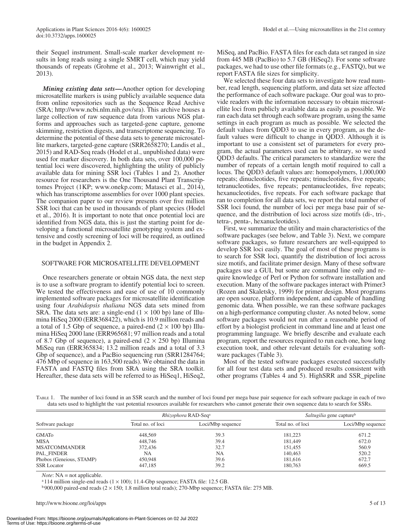their Sequel instrument. Small-scale marker development results in long reads using a single SMRT cell, which may yield thousands of repeats (Grohme et al., 2013; Wainwright et al., 2013).

*Mining existing data sets***—**Another option for developing microsatellite markers is using publicly available sequence data from online repositories such as the Sequence Read Archive (SRA; <http://www.ncbi.nlm.nih.gov/sra>). This archive houses a large collection of raw sequence data from various NGS platforms and approaches such as targeted-gene capture, genome skimming, restriction digests, and transcriptome sequencing. To determine the potential of these data sets to generate microsatellite markers, targeted-gene capture (SRR2658270; Landis et al., 2015) and RAD-Seq reads (Hodel et al., unpublished data) were used for marker discovery. In both data sets, over 100,000 potential loci were discovered, highlighting the utility of publicly available data for mining SSR loci (Tables 1 and 2). Another resource for researchers is the One Thousand Plant Transcriptomes Project (1KP; [www.onekp.com;](www.onekp.com) Matasci et al., 2014), which has transcriptome assemblies for over 1000 plant species. The companion paper to our review presents over five million SSR loci that can be used in thousands of plant species (Hodel et al., 2016). It is important to note that once potential loci are identified from NGS data, this is just the starting point for developing a functional microsatellite genotyping system and extensive and costly screening of loci will be required, as outlined in the budget in Appendix 2.

#### SOFTWARE FOR MICROSATELLITE DEVELOPMENT

Once researchers generate or obtain NGS data, the next step is to use a software program to identify potential loci to screen. We tested the effectiveness and ease of use of 10 commonly implemented software packages for microsatellite identification using four *Arabidopsis thaliana* NGS data sets mined from SRA. The data sets are: a single-end  $(1 \times 100$  bp) lane of Illumina HiSeq 2000 (ERR368422), which is 10.9 million reads and a total of 1.5 Gbp of sequence, a paired-end  $(2 \times 100$  bp) Illumina HiSeq 2000 lane (ERR965681; 97 million reads and a total of 8.7 Gbp of sequence), a paired-end  $(2 \times 250$  bp) Illumina MiSeq run (ERR365834; 13.2 million reads and a total of 3.3 Gbp of sequence), and a PacBio sequencing run (SRR1284764; 476 Mbp of sequence in 163,500 reads). We obtained the data in FASTA and FASTQ files from SRA using the SRA toolkit. Hereafter, these data sets will be referred to as HiSeq1, HiSeq2,

MiSeq, and PacBio. FASTA files for each data set ranged in size from 445 MB (PacBio) to 5.7 GB (HiSeq2). For some software packages, we had to use other file formats (e.g., FASTQ), but we report FASTA file sizes for simplicity.

We selected these four data sets to investigate how read number, read length, sequencing platform, and data set size affected the performance of each software package. Our goal was to provide readers with the information necessary to obtain microsatellite loci from publicly available data as easily as possible. We ran each data set through each software program, using the same settings in each program as much as possible. We selected the default values from QDD3 to use in every program, as the default values were difficult to change in QDD3. Although it is important to use a consistent set of parameters for every program, the actual parameters used can be arbitrary, so we used QDD3 defaults. The critical parameters to standardize were the number of repeats of a certain length motif required to call a locus. The QDD3 default values are: homopolymers, 1,000,000 repeats; dinucleotides, five repeats; trinucleotides, five repeats; tetranucleotides, five repeats; pentanucleotides, five repeats; hexanucleotides, five repeats. For each software package that ran to completion for all data sets, we report the total number of SSR loci found, the number of loci per mega base pair of sequence, and the distribution of loci across size motifs (di-, tri-, tetra-, penta-, hexanucleotides).

First, we summarize the utility and main characteristics of the software packages (see below, and Table 3). Next, we compare software packages, so future researchers are well-equipped to develop SSR loci easily. The goal of most of these programs is to search for SSR loci, quantify the distribution of loci across size motifs, and facilitate primer design. Many of these software packages use a GUI, but some are command line only and require knowledge of Perl or Python for software installation and execution. Many of the software packages interact with Primer3 (Rozen and Skaletsky, 1999) for primer design. Most programs are open source, platform independent, and capable of handling genomic data. When possible, we ran these software packages on a high-performance computing cluster. As noted below, some software packages would not run after a reasonable period of effort by a biologist proficient in command line and at least one programming language. We briefly describe and evaluate each program, report the resources required to run each one, how long execution took, and other relevant details for evaluating software packages (Table 3).

Most of the tested software packages executed successfully for all four test data sets and produced results consistent with other programs (Tables 4 and 5). HighSRR and SSR\_pipeline

Table 1. The number of loci found in an SSR search and the number of loci found per mega base pair sequence for each software package in each of two data sets used to highlight the vast potential resources available for researchers who cannot generate their own sequence data to search for SSRs.

|                          |                   | <i>Rhizophora</i> RAD-Seq <sup>a</sup> | Saltugilia gene capture <sup>b</sup> |                   |  |
|--------------------------|-------------------|----------------------------------------|--------------------------------------|-------------------|--|
| Software package         | Total no. of loci | Loci/Mbp sequence                      | Total no. of loci                    | Loci/Mbp sequence |  |
| <b>GMATO</b>             | 448.569           | 39.3                                   | 181.223                              | 671.2             |  |
| <b>MISA</b>              | 448,746           | 39.4                                   | 181.449                              | 672.0             |  |
| <b>MSATCOMMANDER</b>     | 372,436           | 32.7                                   | 151.455                              | 560.9             |  |
| PAL FINDER               | NA                | NA                                     | 140,463                              | 520.2             |  |
| Phobos (Geneious, STAMP) | 450,948           | 39.6                                   | 181,616                              | 672.7             |  |
| <b>SSR Locator</b>       | 447,185           | 39.2                                   | 180,763                              | 669.5             |  |

*Note*: NA = not applicable.

<sup>a</sup>114 million single-end reads  $(1 \times 100)$ ; 11.4-Gbp sequence; FASTA file: 12.5 GB.

 $b$  900,000 paired-end reads ( $2 \times 150$ ; 1.8 million total reads); 270-Mbp sequence; FASTA file: 275 MB.

http://www.bioone.org/loi/apps 5 of 13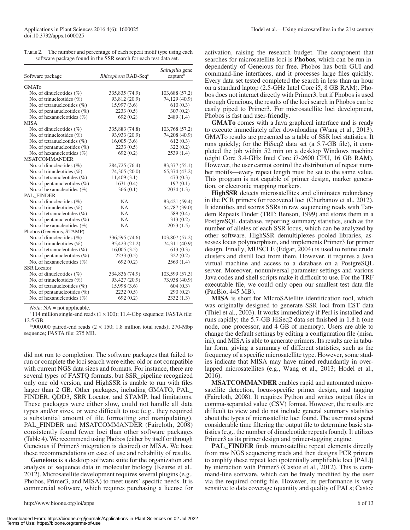Table 2. The number and percentage of each repeat motif type using each software package found in the SSR search for each test data set.

| Software package                | Rhizophora RAD-Seqa | Saltugilia gene<br>captureb |
|---------------------------------|---------------------|-----------------------------|
| <b>GMATo</b>                    |                     |                             |
| No. of dinucleotides $(\%)$     | 335,835 (74.9)      | 103,688 (57.2)              |
| No. of trinucleotides $(\%)$    | 93,812 (20.9)       | 74,129 (40.9)               |
| No. of tetranucleotides $(\%)$  | 15,997 (3.6)        | 610(0.3)                    |
| No. of pentanucleotides $(\%)$  | 2233(0.5)           | 307(0.2)                    |
| No. of hexanucleotides $(\% )$  | 692(0.2)            | 2489 (1.4)                  |
| <b>MISA</b>                     |                     |                             |
| No. of dinucleotides $(\%)$     | 335,883 (74.8)      | 103,768 (57.2)              |
| No. of trinucleotides $(\%)$    | 93,933 (20.9)       | 74,208 (40.9)               |
| No. of tetranucleotides $(\% )$ | 16,005(3.6)         | 612(0.3)                    |
| No. of pentanucleotides $(\%)$  | 2233(0.5)           | 322(0.2)                    |
| No. of hexanucleotides $(\%)$   | 692(0.2)            | 2539(1.4)                   |
| <b>MSATCOMMANDER</b>            |                     |                             |
| No. of dinucleotides $(\%)$     | 284,725 (76.4)      | 83, 377 (55.1)              |
| No. of trinucleotides $(\%)$    | 74,305 (20.0)       | 65,374 (43.2)               |
| No. of tetranucleotides $(\% )$ | 11,409(3.1)         | 473(0.3)                    |
| No. of pentanucleotides (%)     | 1631(0.4)           | 197(0.1)                    |
| No. of hexanucleotides (%)      | 366(0.1)            | 2034(1.3)                   |
| PAL FINDER                      |                     |                             |
| No. of dinucleotides $(\%)$     | <b>NA</b>           | 83,421 (59.4)               |
| No. of trinucleotides $(\%)$    | <b>NA</b>           | 54,787 (39.0)               |
| No. of tetranucleotides $(\% )$ | <b>NA</b>           | 589 (0.4)                   |
| No. of pentanucleotides $(\% )$ | <b>NA</b>           | 313(0.2)                    |
| No. of hexanucleotides $(\% )$  | <b>NA</b>           | 2053(1.5)                   |
| Phobos (Geneious, STAMP)        |                     |                             |
| No. of dinucleotides $(\% )$    | 336,595 (74.6)      | 103,807 (57.2)              |
| No. of trinucleotides $(\%)$    | 95,423 (21.2)       | 74,311 (40.9)               |
| No. of tetranucleotides (%)     | 16,005(3.5)         | 613(0.3)                    |
| No. of pentanucleotides (%)     | 2233(0.5)           | 322(0.2)                    |
| No. of hexanucleotides (%)      | 692(0.2)            | 2563(1.4)                   |
| <b>SSR</b> Locator              |                     |                             |
| No. of dinucleotides $(\%)$     | 334,836 (74.9)      | 103,599 (57.3)              |
| No. of trinucleotides $(\%)$    | 93,427 (20.9)       | 73,938 (40.9)               |
| No. of tetranucleotides $(\% )$ | 15,998 (3.6)        | 604(0.3)                    |
| No. of pentanucleotides (%)     | 2232(0.5)           | 290(0.2)                    |
| No. of hexanucleotides $(\% )$  | 692(0.2)            | 2332(1.3)                   |

*Note*: NA = not applicable.

 $a$ 114 million single-end reads (1  $\times$  100); 11.4-Gbp sequence; FASTA file: 12.5 GB.

 $b$  900,000 paired-end reads (2  $\times$  150; 1.8 million total reads); 270-Mbp sequence; FASTA file: 275 MB.

did not run to completion. The software packages that failed to run or complete the loci search were either old or not compatible with current NGS data sizes and formats. For instance, there are several types of FASTQ formats, but SSR\_pipeline recognized only one old version, and HighSSR is unable to run with files larger than 2 GB. Other packages, including GMATO, PAL\_ FINDER, QDD3, SRR Locator, and STAMP, had limitations. These packages were either slow, could not handle all data types and/or sizes, or were difficult to use (e.g., they required a substantial amount of file formatting and manipulating). PAL\_FINDER and MSATCOMMANDER (Faircloth, 2008) consistently found fewer loci than other software packages (Table 4). We recommend using Phobos (either by itself or through Geneious if Primer3 integration is desired) or MISA. We base these recommendations on ease of use and reliability of results.

**Geneious** is a desktop software suite for the organization and analysis of sequence data in molecular biology (Kearse et al., 2012). Microsatellite development requires several plugins (e.g., Phobos, Primer3, and MISA) to meet users' specific needs. It is commercial software, which requires purchasing a license for

activation, raising the research budget. The component that searches for microsatellite loci is **Phobos**, which can be run independently of Geneious for free. Phobos has both GUI and command-line interfaces, and it processes large files quickly. Every data set tested completed the search in less than an hour on a standard laptop (2.5-GHz Intel Core i5, 8 GB RAM). Phobos does not interact directly with Primer3, but if Phobos is used through Geneious, the results of the loci search in Phobos can be easily piped to Primer3. For microsatellite loci development, Phobos is fast and user-friendly.

**GMATo** comes with a Java graphical interface and is ready to execute immediately after downloading (Wang et al., 2013). GMATo results are presented as a table of SSR loci statistics. It runs quickly; for the HiSeq2 data set (a 5.7-GB file), it completed the job within 52 min on a desktop Windows machine (eight Core 3.4-GHz Intel Core i7-2600 CPU, 16 GB RAM). However, the user cannot control the distribution of repeat number motifs—every repeat length must be set to the same value. This program is not capable of primer design, marker generation, or electronic mapping markers.

**HighSSR** detects microsatellites and eliminates redundancy in the PCR primers for recovered loci (Churbanov et al., 2012). It identifies and scores SSRs in raw sequencing reads with Tandem Repeats Finder (TRF; Benson, 1999) and stores them in a PostgreSQL database, reporting summary statistics, such as the number of alleles of each SSR locus, which can be analyzed by other software. HighSSR demultiplexes pooled libraries, assesses locus polymorphism, and implements Primer3 for primer design. Finally, MUSCLE (Edgar, 2004) is used to refine crude clusters and distill loci from them. However, it requires a Java virtual machine and access to a database on a PostgreSQL server. Moreover, nonuniversal parameter settings and various Java codes and shell scripts make it difficult to use. For the TRF executable file, we could only open our smallest test data file (PacBio; 445 MB).

**MISA** is short for MIcroSAtellite identification tool, which was originally designed to generate SSR loci from EST data (Thiel et al., 2003). It works immediately if Perl is installed and runs rapidly; the 5.7-GB HiSeq2 data set finished in 1.8 h (one node, one processor, and 4 GB of memory). Users are able to change the default settings by editing a configuration file (misa. ini), and MISA is able to generate primers. Its results are in tabular form, giving a summary of different statistics, such as the frequency of a specific microsatellite type. However, some studies indicate that MISA may have mined redundantly in overlapped microsatellites (e.g., Wang et al., 2013; Hodel et al., 2016).

**MSATCOMMANDER** enables rapid and automated microsatellite detection, locus-specific primer design, and tagging (Faircloth, 2008). It requires Python and writes output files in comma-separated value (CSV) format. However, the results are difficult to view and do not include general summary statistics about the types of microsatellite loci found. The user must spend considerable time filtering the output file to determine basic statistics (e.g., the number of dinucleotide repeats found). It utilizes Primer3 as its primer design and primer-tagging engine.

**PAL\_FINDER** finds microsatellite repeat elements directly from raw NGS sequencing reads and then designs PCR primers to amplify these repeat loci (potentially amplifiable loci [PAL]) by interaction with Primer3 (Castoe et al., 2012). This is command-line software, which can be freely modified by the user via the required config file. However, its performance is very sensitive to data coverage (quantity and quality of PALs; Castoe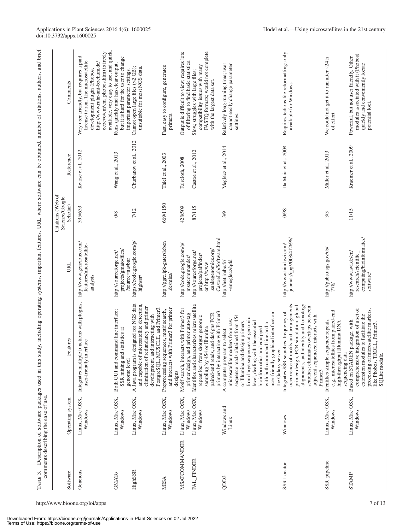| ТАВLЕ 3.             | comments describing the ease of use. | Description of software packages used in this study, including operating systems, important features, URL where software can be obtained, number of citations, authors, and brief                                                                                                                                                             |                                                                                                                 |                                                 |                        |                                                                                                                                                                                                                                 |
|----------------------|--------------------------------------|-----------------------------------------------------------------------------------------------------------------------------------------------------------------------------------------------------------------------------------------------------------------------------------------------------------------------------------------------|-----------------------------------------------------------------------------------------------------------------|-------------------------------------------------|------------------------|---------------------------------------------------------------------------------------------------------------------------------------------------------------------------------------------------------------------------------|
| Software             | Operating system                     | Features                                                                                                                                                                                                                                                                                                                                      | URL                                                                                                             | Citations (Web of<br>Science/Google<br>Scholar) | Reference              | Comments                                                                                                                                                                                                                        |
| Geneious             | Linux, Mac OSX,<br>Windows           | Integrates multiple functions with plugins,<br>user-friendly interface                                                                                                                                                                                                                                                                        | http://www.geneious.com/<br>features/microsatellite-<br>analysis                                                | 395/633                                         | Kearse et al., 2012    | ecoevo/cm/cm_phobos.htm) is freely<br>available, very easy to use, and quick.<br>Very user friendly, but requires a paid<br>license to run. The microsatellite<br>http://www.ruhr-uni-bochum.de/<br>development plugin (Phobos, |
| GMATo                | Linux, Mac OSX,<br>Windows           | Both GUI and command line interface;<br>SSR mining and statistics at<br>genome level                                                                                                                                                                                                                                                          | projects/gmato/files/<br>http://sourceforge.net/<br>?source=navbar                                              | 0/8                                             | Wang et al., 2013      | but it is hard for the user to change<br>Runs quickly and has clear output,<br>important parameter settings                                                                                                                     |
| HighSSR              | Linux, Mac OSX,<br>Windows           | and capable of microsatellite detection,<br>A Java program is designed for NGS data<br>elimination of redundancy and primer<br>PostgreSQL, MUSCLE, and Primer3.<br>development, and interacting with                                                                                                                                          | https://code.google.com/p/<br>highssr/                                                                          | 7/12                                            | Churbanov et al., 2012 | Cannot open large files (>2 GB);<br>unsuitable for most NGS data.                                                                                                                                                               |
| <b>MISA</b>          | Linux, Mac OSX,<br>Windows           | and interacts with Primer3 for primer<br>Preprocessing sequences, motif search,<br>designs                                                                                                                                                                                                                                                    | http://pgrc.ipk-gatersleben<br>.de/misa/                                                                        | 669/1150                                        | Thiel et al., 2003     | Fast, easy to configure, generates<br>primers.                                                                                                                                                                                  |
| <b>MSATCOMMANDER</b> | Linux, Mac OSX,<br>Windows           | Motif search, interacts with Primer3 for<br>primer auto-tag<br>primer design, and                                                                                                                                                                                                                                                             | http://code.google.com/p/<br>msatcommander                                                                      | 428/509                                         | Faircloth, 2008        | Output is difficult to view; requires lots<br>of filtering to find basic statistics.                                                                                                                                            |
| PAL FINDER           | Linux, Mac OSX,<br>Windows           | Identifies and characterizes microsatellite<br>primers by interacting with Primer3<br>paired-end reads, and designs PCR<br>repeat loci from shotgun genomic<br>sampling by 454 or Illumina                                                                                                                                                    | CastoeLab/Software.html<br>snakegenomics.org<br>http://sourceforge.net/<br>projects/palfinder/<br>or http://www | 87/115                                          | Castoe et al., 2012    | FASTQ formats; would not complete<br>compatibility issues with many<br>Slow, struggles with large files;<br>with the largest data set.                                                                                          |
| QDD3                 | Windows and<br>Linux                 | user-friendly graphical interface on<br>sequence reads obtained from 454<br>from large sequences at genomic<br>microsatellite markers from raw<br>the essential<br>or Illumina and design primers<br>with both command line and a<br>bioinformatics and equipped<br>A computer program to select<br>level, dealing with<br>the Galaxy server. | $\sim$ emeglecz/qdd<br>http://net.imbe.fr/                                                                      | 3/9                                             | Meglécz et al., 2014   | cannot easily change parameter<br>Relatively long running time; user<br>settings.                                                                                                                                               |
| <b>SSR</b> Locator   | Windows                              | occurrence of motifs and arrangements,<br>alignments, and identity and homology<br>primer design, PCR simulation, global<br>searches; eliminates overlaps between<br>Integrates SSR searches, frequency of<br>adjacent sequences; interacts with<br>Primer3                                                                                   | journals/ijpg/2008/412696/<br>http://www.hindawi.com/                                                           | 0/98                                            | Da Maia et al., 2008   | Requires tedious file reformatting; only<br>available for Windows.                                                                                                                                                              |
| SSR_pipeline         | Linux, Mac OSX,<br>Windows           | e.g., microsatellites from paired-end<br>Identifies simple sequence repeats,<br>high-throughput Illumina DNA<br>sequencing data                                                                                                                                                                                                               | http://pubs.usgs.gov/ds/<br>778/                                                                                | 3/3                                             | Miller et al., 2013    | We could not get it to run after ~24 h<br>of effort.                                                                                                                                                                            |
| <b>STAMP</b>         | Linux, Mac OSX,<br>Windows           | comprehensive integration of a set of<br>processing of microsatellite markers,<br>extension modules to facilitate the<br>Based on STADEN package, with<br>like Phobos, TROLL, Primer3,<br>SQLite module.                                                                                                                                      | computing/bioinformatics/<br>http://www.awi.de/en/<br>research/scientific<br>software                           | 11/15                                           | Kraemer et al., 2009   | modules associated with it (Phobos)<br>Powerful, but not user friendly. Other<br>quickly and conveniently locate<br>potential loci.                                                                                             |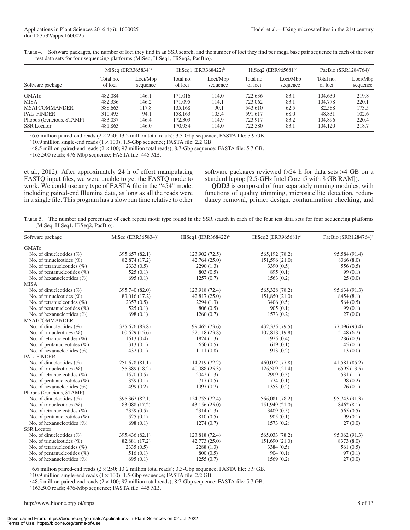| TABLE 4. Software packages, the number of loci they find in an SSR search, and the number of loci they find per mega base pair sequence in each of the four |
|-------------------------------------------------------------------------------------------------------------------------------------------------------------|
| test data sets for four sequencing platforms (MiSeq, HiSeq1, HiSeq2, PacBio).                                                                               |

|                          | MiSeq (ERR365834) <sup>a</sup> |                      | HiSeq1 (ERR368422) $\frac{b}{c}$ |                      | HiSeq2 (ERR965681) $\text{°}$ |                      | PacBio (SRR1284764) <sup>d</sup> |                      |
|--------------------------|--------------------------------|----------------------|----------------------------------|----------------------|-------------------------------|----------------------|----------------------------------|----------------------|
| Software package         | Total no.<br>of loci           | Loci/Mbp<br>sequence | Total no.<br>of loci             | Loci/Mbp<br>sequence | Total no.<br>of loci          | Loci/Mbp<br>sequence | Total no.<br>of loci             | Loci/Mbp<br>sequence |
| <b>GMATO</b>             | 482,084                        | 146.1                | 171.016                          | 114.0                | 722,636                       | 83.1                 | 104,630                          | 219.8                |
| <b>MISA</b>              | 482,336                        | 146.2                | 171,095                          | 114.1                | 723,062                       | 83.1                 | 104,778                          | 220.1                |
| <b>MSATCOMMANDER</b>     | 388,663                        | 117.8                | 135.168                          | 90.1                 | 543,610                       | 62.5                 | 82.588                           | 173.5                |
| PAL FINDER               | 310,495                        | 94.1                 | 158.163                          | 105.4                | 591,617                       | 68.0                 | 48.831                           | 102.6                |
| Phobos (Geneious, STAMP) | 483,037                        | 146.4                | 172,309                          | 114.9                | 723,917                       | 83.2                 | 104.896                          | 220.4                |
| <b>SSR Locator</b>       | 481,863                        | 146.0                | 170.934                          | 114.0                | 722,580                       | 83.1                 | 104.120                          | 218.7                |

 $a_6$ .6 million paired-end reads ( $2 \times 250$ ; 13.2 million total reads); 3.3-Gbp sequence; FASTA file: 3.9 GB.

 $b$  10.9 million single-end reads (1  $\times$  100); 1.5-Gbp sequence; FASTA file: 2.2 GB.

 $c$ 48.5 million paired-end reads (2 × 100; 97 million total reads); 8.7-Gbp sequence; FASTA file: 5.7 GB.

<sup>d</sup> 163,500 reads; 476-Mbp sequence; FASTA file: 445 MB.

et al., 2012). After approximately 24 h of effort manipulating FASTQ input files, we were unable to get the FASTQ mode to work. We could use any type of FASTA file in the "454" mode, including paired-end Illumina data, as long as all the reads were in a single file. This program has a slow run time relative to other software packages reviewed (>24 h for data sets >4 GB on a standard laptop [2.5-GHz Intel Core i5 with 8 GB RAM]).

**QDD3** is composed of four separately running modules, with functions of quality trimming, microsatellite detection, redundancy removal, primer design, contamination checking, and

Table 5. The number and percentage of each repeat motif type found in the SSR search in each of the four test data sets for four sequencing platforms (MiSeq, HiSeq1, HiSeq2, PacBio).

| Software package                | MiSeq (ERR365834) <sup>a</sup> | HiSeq1 (ERR368422) <sup>b</sup> | HiSeq2 (ERR965681) $\text{°}$ | PacBio (SRR1284764) <sup>d</sup> |
|---------------------------------|--------------------------------|---------------------------------|-------------------------------|----------------------------------|
| <b>GMATO</b>                    |                                |                                 |                               |                                  |
| No. of dinucleotides $(\%)$     | 395,657 (82.1)                 | 123,902 (72.5)                  | 565,192 (78.2)                | 95,584 (91.4)                    |
| No. of trinucleotides $(\% )$   | 82,874 (17.2)                  | 42,764 (25.0)                   | 151,596 (21.0)                | 8366 (8.0)                       |
| No. of tetranucleotides $(\%)$  | 2333(0.5)                      | 2290(1.3)                       | 3390 (0.5)                    | 556(0.5)                         |
| No. of pentanucleotides $(\%)$  | 525(0.1)                       | 803(0.5)                        | 895(0.1)                      | 99(0.1)                          |
| No. of hexanucleotides (%)      | 695(0.1)                       | 1257(0.7)                       | 1563(0.2)                     | 25(0.0)                          |
| <b>MISA</b>                     |                                |                                 |                               |                                  |
| No. of dinucleotides $(\% )$    | 395,740 (82.0)                 | 123,918 (72.4)                  | 565,328 (78.2)                | 95,634 (91.3)                    |
| No. of trinucleotides $(\%)$    | 83,016 (17.2)                  | 42,817 (25.0)                   | 151,850 (21.0)                | 8454(8.1)                        |
| No. of tetranucleotides $(\%)$  | 2357(0.5)                      | 2294(1.3)                       | 3406(0.5)                     | 564(0.5)                         |
| No. of pentanucleotides $(\%)$  | 525(0.1)                       | 806(0.5)                        | 905(0.1)                      | 99(0.1)                          |
| No. of hexanucleotides $(\% )$  | 698(0.1)                       | 1260(0.7)                       | 1573(0.2)                     | 27(0.0)                          |
| <b>MSATCOMMANDER</b>            |                                |                                 |                               |                                  |
| No. of dinucleotides $(\% )$    | 325,676 (83.8)                 | 99,465 (73.6)                   | 432,335 (79.5)                | 77,096 (93.4)                    |
| No. of trinucleotides $(\% )$   | $60,629$ $(15.6)$              | 32,118 (23.8)                   | 107,818 (19.8)                | 5148 (6.2)                       |
| No. of tetranucleotides $(\%)$  | 1613(0.4)                      | 1824(1.3)                       | 1925(0.4)                     | 286(0.3)                         |
| No. of pentanucleotides $(\%)$  | 313(0.1)                       | 650(0.5)                        | 619(0.1)                      | 45(0.1)                          |
| No. of hexanucleotides $(\%)$   | 432(0.1)                       | 1111(0.8)                       | 913(0.2)                      | 13(0.0)                          |
| PAL FINDER                      |                                |                                 |                               |                                  |
| No. of dinucleotides $(\% )$    | 251,678 (81.1)                 | 114,219 (72.2)                  | 460,072 (77.8)                | 41,581 (85.2)                    |
| No. of trinucleotides $(\% )$   | 56,389 (18.2)                  | 40,088 (25.3)                   | 126,509(21.4)                 | 6595 (13.5)                      |
| No. of tetranucleotides $(\%)$  | 1570(0.5)                      | 2042(1.3)                       | 2909(0.5)                     | 531(1.1)                         |
| No. of pentanucleotides $(\%)$  | 359(0.1)                       | 717(0.5)                        | 774(0.1)                      | 98(0.2)                          |
| No. of hexanucleotides $(\% )$  | 499(0.2)                       | 1097(0.7)                       | 1353(0.2)                     | 26(0.1)                          |
| Phobos (Geneious, STAMP)        |                                |                                 |                               |                                  |
| No. of dinucleotides $(\% )$    | 396,367 (82.1)                 | 124,755 (72.4)                  | 566,081 (78.2)                | 95,743 (91.3)                    |
| No. of trinucleotides $(\% )$   | 83,088 (17.2)                  | 43,156(25.0)                    | 151,949 (21.0)                | 8462(8.1)                        |
| No. of tetranucleotides $(\%)$  | 2359(0.5)                      | 2314(1.3)                       | 3409(0.5)                     | 565(0.5)                         |
| No. of pentanucleotides $(\%)$  | 525(0.1)                       | 810(0.5)                        | 905(0.1)                      | 99(0.1)                          |
| No. of hexanucleotides $(\% )$  | 698(0.1)                       | 1274(0.7)                       | 1573(0.2)                     | 27(0.0)                          |
| <b>SSR</b> Locator              |                                |                                 |                               |                                  |
| No. of dinucleotides $(\% )$    | 395,436 (82.1)                 | 123,818 (72.4)                  | 565,033 (78.2)                | 95,062 (91.3)                    |
| No. of trinucleotides $(\% )$   | 82,881 (17.2)                  | 42,773 (25.0)                   | 151,690 (21.0)                | 8373 (8.0)                       |
| No. of tetranucleotides $(\%)$  | 2335(0.5)                      | 2288(1.3)                       | 3384(0.5)                     | 561(0.5)                         |
| No. of pentanucleotides $(\% )$ | 516(0.1)                       | 800(0.5)                        | 904(0.1)                      | 97(0.1)                          |
| No. of hexanucleotides $(\% )$  | 695(0.1)                       | 1255(0.7)                       | 1569(0.2)                     | 27(0.0)                          |

a6.6 million paired-end reads (2 × 250; 13.2 million total reads); 3.3-Gbp sequence; FASTA file: 3.9 GB.

 $b$  10.9 million single-end reads (1 × 100); 1.5-Gbp sequence; FASTA file: 2.2 GB.

c48.5 million paired-end reads (2 × 100; 97 million total reads); 8.7-Gbp sequence; FASTA file: 5.7 GB.

<sup>d</sup> 163,500 reads; 476-Mbp sequence; FASTA file: 445 MB.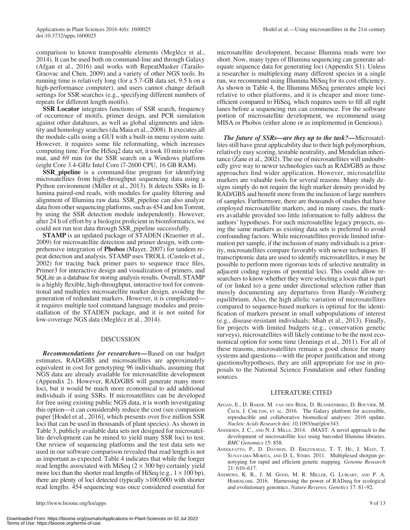comparison to known transposable elements (Meglécz et al., 2014). It can be used both on command-line and through Galaxy (Afgan et al., 2016) and works with RepeatMasker (Tarailo-Graovac and Chen, 2009) and a variety of other NGS tools. Its running time is relatively long (for a 5.7-GB data set, 9.5 h on a high-performance computer), and users cannot change default settings for SSR searches (e.g., specifying different numbers of repeats for different length motifs).

**SSR Locator** integrates functions of SSR search, frequency of occurrence of motifs, primer design, and PCR simulation against other databases, as well as global alignments and identity and homology searches (da Maia et al., 2008). It executes all the module-calls using a GUI with a built-in menu system suite. However, it requires some file reformatting, which increases computing time. For the HiSeq2 data set, it took 10 min to reformat, and 69 min for the SSR search on a Windows platform (eight Core 3.4-GHz Intel Core i7-2600 CPU, 16 GB RAM).

**SSR\_pipeline** is a command-line program for identifying microsatellites from high-throughput sequencing data using a Python environment (Miller et al., 2013). It detects SSRs in Illumina paired-end reads, with modules for quality filtering and alignment of Illumina raw data. SSR\_pipeline can also analyze data from other sequencing platforms, such as 454 and Ion Torrent, by using the SSR detection module independently. However, after 24 h of effort by a biologist proficient in bioinformatics, we could not run test data through SSR\_pipeline successfully.

**STAMP** is an updated package of STADEN (Kraemer et al., 2009) for microsatellite detection and primer design, with comprehensive integration of **Phobos** (Mayer, 2007) for tandem repeat detection and analysis. STAMP uses TROLL (Castelo et al., 2002) for tracing back primer pairs to sequence trace files, Primer3 for interactive design and visualization of primers, and SQLite as a database for storing analysis results. Overall, STAMP is a highly flexible, high-throughput, interactive tool for conventional and multiplex microsatellite marker design, avoiding the generation of redundant markers. However, it is complicated it requires multiple tool command language modules and preinstallation of the STADEN package, and it is not suited for low-coverage NGS data (Meglécz et al., 2014).

#### DISCUSSION

*Recommendations for researchers***—**Based on our budget estimates, RAD/GBS and microsatellites are approximately equivalent in cost for genotyping 96 individuals, assuming that NGS data are already available for microsatellite development (Appendix 2). However, RAD/GBS will generate many more loci, but it would be much more economical to add additional individuals if using SSRs. If microsatellites can be developed for free using existing public NGS data, it is worth investigating this option—it can considerably reduce the cost (see companion paper [Hodel et al., 2016], which presents over five million SSR loci that can be used in thousands of plant species). As shown in Table 3, publicly available data sets not designed for microsatellite development can be mined to yield many SSR loci to test. Our review of sequencing platforms and the test data sets we used in our software comparison revealed that read length is not as important as expected. Table 4 indicates that while the longer read lengths associated with MiSeq  $(2 \times 300$  bp) certainly yield more loci than the shorter read lengths of HiSeq (e.g.,  $1 \times 100$  bp), there are plenty of loci detected (typically >100,000) with shorter read lengths. 454 sequencing was once considered essential for microsatellite development, because Illumina reads were too short. Now, many types of Illumina sequencing can generate adequate sequence data for generating loci [\(Appendix S1](http://www.bioone.org/doi/suppl/10.3732/apps.1600025/suppl_file/apps.1600025_s1.docx)). Unless a researcher is multiplexing many different species in a single run, we recommend using Illumina MiSeq for its cost efficiency. As shown in Table 4, the Illumina MiSeq generates ample loci relative to other platforms, and it is cheaper and more timeefficient compared to HiSeq, which requires users to fill all eight lanes before a sequencing run can commence. For the software portion of microsatellite development, we recommend using MISA or Phobos (either alone or as implemented in Geneious).

*The future of SSRs—are they up to the task?***—**Microsatellites still have great applicability due to their high polymorphism, relatively easy scoring, testable neutrality, and Mendelian inheritance (Zane et al., 2002). The use of microsatellites will undoubtedly give way to newer technologies such as RAD/GBS as these approaches find wider application. However, microsatellite markers are valuable tools for several reasons. Many study designs simply do not require the high marker density provided by RAD/GBS and benefit more from the inclusion of large numbers of samples. Furthermore, there are thousands of studies that have employed microsatellite markers, and in many cases, the markers available provided too little information to fully address the authors' hypotheses. For such microsatellite legacy projects, using the same markers as existing data sets is preferred to avoid confounding factors. While microsatellites provide limited information per sample, if the inclusion of many individuals is a priority, microsatellites compare favorably with newer techniques. If transcriptomic data are used to identify microsatellites, it may be possible to perform more rigorous tests of selective neutrality in adjacent coding regions of potential loci. This could allow researchers to know whether they were selecting a locus that is part of (or linked to) a gene under directional selection rather than merely documenting any departures from Hardy–Weinberg equilibrium. Also, the high allelic variation of microsatellites compared to sequence-based markers is optimal for the identification of markers present in small subpopulations of interest (e.g., disease-resistant individuals; Miah et al., 2013). Finally, for projects with limited budgets (e.g., conservation genetic surveys), microsatellites will likely continue to be the most economical option for some time (Jennings et al., 2011). For all of these reasons, microsatellites remain a good choice for many systems and questions—with the proper justification and strong questions/hypotheses, they are still appropriate for use in proposals to the National Science Foundation and other funding sources.

#### LITERATURE CITED

- Afgan, E., D. Baker, M. van den Beek, D. Blankenberg, D. Bouvier, M. Čech, J. Chilton, et al. 2016. The Galaxy platform for accessible, reproducible and collaborative biomedical analyses: 2016 update. *Nucleic Acids Research* doi: 10.1093/nar/gkw343.
- Andersen, J. C., and N. J. Mills. 2014. iMAST: A novel approach to the development of microsatellite loci using barcoded Illumina libraries. *BMC Genomics* 15: 858.
- Andolfatto, P., D. Davison, D. Erezyilmaz, T. T. Hu, J. Mast, T. SUNAYAMA-MORITA, AND D. L. STERN. 2011. Multiplexed shotgun genotyping for rapid and efficient genetic mapping. *Genome Research* 21: 610–617.
- Andrews, K. R., J. M. Good, M. R. Miller, G. Luikart, and P. A. HOHENLOHE. 2016. Harnessing the power of RADseq for ecological and evolutionary genomics. *Nature Reviews. Genetics* 17: 81–92.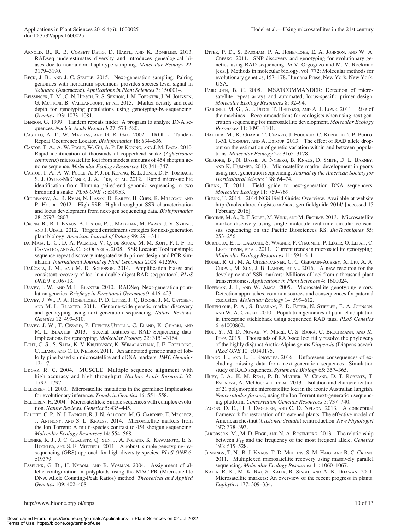- ARNOLD, B., R. B. CORBETT DETIG, D. HARTL, AND K. BOMBLIES. 2013. RADseq underestimates diversity and introduces genealogical biases due to nonrandom haplotype sampling. *Molecular Ecology* 22: 3179–3190.
- Beck, J. B., and J. C. Semple. 2015. Next-generation sampling: Pairing genomics with herbarium specimens provides species-level signal in *Solidago* (Asteraceae). *Applications in Plant Sciences* 3: 1500014.
- Beissinger, T. M., C. N. Hirsch, R. S. Sekhon,J. M. Foerster,J. M.Johnson, G. MUTTONI, B. VAILLANCOURT, ET AL. 2013. Marker density and read depth for genotyping populations using genotyping-by-sequencing. *Genetics* 193: 1073–1081.
- Benson, G. 1999. Tandem repeats finder: A program to analyze DNA sequences. *Nucleic Acids Research* 27: 573–580.
- Castelo, A. T., W. Martins, and G. R. Gao. 2002. TROLL—Tandem Repeat Occurrence Locator. *Bioinformatics* 18: 634–636.
- Castoe, T. A., A. W. Poole, W. Gu, A. P. De Koning, and J. M. Daza. 2010. Rapid identification of thousands of copperhead snake (*Agkistrodon contortrix*) microsatellite loci from modest amounts of 454 shotgun genome sequence. *Molecular Ecology Resources* 10: 341–347.
- Castoe, T. A., A. W. Poole, A. P. J. de Koning, K. L. Jones, D. F. Tomback, S. J. OYLER-MCCANCE, J. A. FIKE, ET AL. 2012. Rapid microsatellite identification from Illumina paired-end genomic sequencing in two birds and a snake. *PLoS ONE* 7: e30953.
- Churbanov, A., R. Ryan, N. Hasan, D. Bailey, H. Chen, B. Milligan, and P. HOUDE. 2012. High SSR: High-throughput SSR characterization and locus development from next-gen sequencing data. *Bioinformatics* 28: 2797–2803.
- Cronn, R., B. J. Knaus, A. Liston, P. J. Maughan, M. Parks, J. V. Syring, AND J. UDALL. 2012. Targeted enrichment strategies for next-generation plant biology. *American Journal of Botany* 99: 291–311.
- da Maia, L. C., D. A. Palmieri, V. Q. de Souza, M. M. Kopp, F. I. F. de Carvalho, and A. C. de Oliveria. 2008. SSR Locator: Tool for simple sequence repeat discovery integrated with primer design and PCR simulation. *International Journal of Plant Genomics* 2008: 412696.
- DaCosta, J. M., and M. D. Sorenson. 2014. Amplification biases and consistent recovery of loci in a double-digest RAD-seq protocol. *PLoS ONE* 9: e106713.
- Davey, J. W., and M. L. Blaxter. 2010. RADSeq: Next-generation population genetics. *Briefings in Functional Genomics* 9: 416–423.
- DAVEY, J. W., P. A. HOHENLOHE, P. D. ETTER, J. Q. BOONE, J. M. CATCHEN, and M. L. Blaxter. 2011. Genome-wide genetic marker discovery and genotyping using next-generation sequencing. *Nature Reviews. Genetics* 12: 499–510.
- Davey, J. W., T. Cezard, P. Fuentes Utrilla, C. Eland, K. Gharbi, and M. L. BLAXTER. 2013. Special features of RAD Sequencing data: Implications for genotyping. *Molecular Ecology* 22: 3151–3164.
- Echt, C. S., S. Saha, K. V. Krutovsky, K. Wimalanthan, J. E. Erpelding, C. Liang, and C. D. Nelson. 2011. An annotated genetic map of loblolly pine based on microsatellite and cDNA markers. *BMC Genetics* 12: 17.
- EDGAR, R. C. 2004. MUSCLE: Multiple sequence alignment with high accuracy and high throughput. *Nucleic Acids Research* 32: 1792–1797.
- ELLEGREN, H. 2000. Microsatellite mutations in the germline: Implications for evolutionary inference. *Trends in Genetics* 16: 551–558.
- Ellegren, H. 2004. Microsatellites: Simple sequences with complex evolution. *Nature Reviews. Genetics* 5: 435–445.
- Elliott, C. P., N. J. Enright, R. J. N. Allcock, M. G. Gardner, E. Meglecz, J. Anthony, and S. L. Krauss. 2014. Microsatellite markers from the Ion Torrent: A multi-species contrast to 454 shotgun sequencing. *Molecular Ecology Resources* 14: 554–568.
- Elshire, R. J., J. C. Glaubitz, Q. Sun, J. A. Poland, K. Kawamoto, E. S. BUCKLER, AND S. E. MITCHELL. 2011. A robust, simple genotyping-bysequencing (GBS) approach for high diversity species. *PLoS ONE* 6: e19379.
- Esselink, G. D., H. Nybom, and B. Vosman. 2004. Assignment of allelic configuration in polyploids using the MAC-PR (Microsatellite DNA Allele Counting-Peak Ratios) method. *Theoretical and Applied Genetics* 109: 402–408.
- Etter, P. D., S. Bassham, P. A. Hohenlohe, E. A. Johnson, and W. A. Cresko. 2011. SNP discovery and genotyping for evolutionary genetics using RAD sequencing. *In* V. Orgogozo and M. V. Rockman [eds.], Methods in molecular biology, vol. 772: Molecular methods for evolutionary genetics, 157–178. Humana Press, New York, New York, USA.
- FAIRCLOTH, B. C. 2008. MSATCOMMANDER: Detection of microsatellite repeat arrays and automated, locus-specific primer design. *Molecular Ecology Resources* 8: 92–94.
- Gardner, M. G., A. J. Fitch, T. Bertozzi, and A. J. Lowe. 2011. Rise of the machines—Recommendations for ecologists when using next generation sequencing for microsatellite development. *Molecular Ecology Resources* 11: 1093–1101.
- Gautier, M., K. Gharbi, T. Cezard, J. Foucaud, C. Kerdelhué, P. Pudlo, J.-M. CORNUET, AND A. ESTOUP. 2013. The effect of RAD allele dropout on the estimation of genetic variation within and between populations. *Molecular Ecology* 22: 3165–3178.
- Gilmore, B., N. Bassil, A. Nyberg, B. Knaus, D. Smith, D. L. Barney, and K. Hummer. 2013. Microsatellite marker development in peony using next generation sequencing. *Journal of the American Society for Horticultural Science* 138: 64–74.
- GLENN, T. 2011. Field guide to next-generation DNA sequencers. *Molecular Ecology* 11: 759–769.
- Glenn, T. 2014. 2014 NGS Field Guide: Overview. Available at website <http://molecularecologist.com/next-gen-fieldguide-2014/>[accessed 15 February 2016].
- Grohme, M. A.,R. F. Soler, M.Wink, and M. Frohme. 2013. Microsatellite marker discovery using single molecule real-time circular consensus sequencing on the Pacific Biosciences RS. *BioTechniques* 55: 253–256.
- Guichoux, E., L. Lagache, S. Wagner, P. Chaumeil, P. Léger, O. Lepais, C. LEPOITTEVIN, ET AL. 2011. Current trends in microsatellite genotyping. *Molecular Ecology Resources* 11: 591–611.
- Hodel, R. G., M. A. Gitzendanner, C. C. Germain-Aubrey, X. Liu, A. A. Crowl, M. Sun, J. B. Landis, et al. 2016. A new resource for the development of SSR markers: Millions of loci from a thousand plant transcriptomes. *Applications in Plant Sciences* 4: 1600024.
- HOFFMAN, J. I., AND W. AMOS. 2005. Microsatellite genotyping errors: Detection approaches, common sources and consequences for paternal exclusion. *Molecular Ecology* 14: 599–612.
- HOHENLOHE, P. A., S. BASSHAM, P. D. ETTER, N. STIFFLER, E. A. JOHNSON, and W. A. Cresko. 2010. Population genomics of parallel adaptation in threespine stickleback using sequenced RAD tags. *PLoS Genetics* 6: e1000862.
- Hou, Y., M. D. Nowak, V. Mirré, C. S. Bjorå, C. Brochmann, and M. Popp. 2015. Thousands of RAD-seq loci fully resolve the phylogeny of the highly disjunct Arctic-Alpine genus *Diapensia* (Diapensiaceae). *PLoS ONE* 10: e0140175.
- Huang, H., and L. L. Knowles. 2016. Unforeseen consequences of excluding missing data from next-generation sequences: Simulation study of RAD sequences. *Systematic Biology* 65: 357–365.
- Huey, J. A., K. M. Real, P. B. Mather, V. Chand, D. T. Roberts, T. ESPINOZA, A. McDOUGALL, ET AL. 2013. Isolation and characterization of 21 polymorphic microsatellite loci in the iconic Australian lungfish, *Neoceratodus forsteri*, using the Ion Torrent next-generation sequencing platform. *Conservation Genetics Resources* 5: 737–740.
- Jacobs, D. E., H. J. Dagleish, and C. D. Nelson. 2013. A conceptual framework for restoration of threatened plants: The effective model of American chestnut (*Castanea dentata*) reintroduction. *New Phytologist* 197: 378–393.
- JAKOBSSON, M., M. D. EDGE, AND N. A. ROSENBERG. 2013. The relationship between  $F_{ST}$  and the frequency of the most frequent allele. *Genetics* 193: 515–528.
- Jennings, T. N., B. J. Knaus, T. D. Mullins, S. M. Haig, and R. C. Cronn. 2011. Multiplexed microsatellite recovery using massively parallel sequencing. *Molecular Ecology Resources* 11: 1060–1067.
- Kalia, R. K., M. K. Rai, S. Kalia, R. Singh, and A. K. Dhawan. 2011. Microsatellite markers: An overview of the recent progress in plants. *Euphytica* 177: 309–334.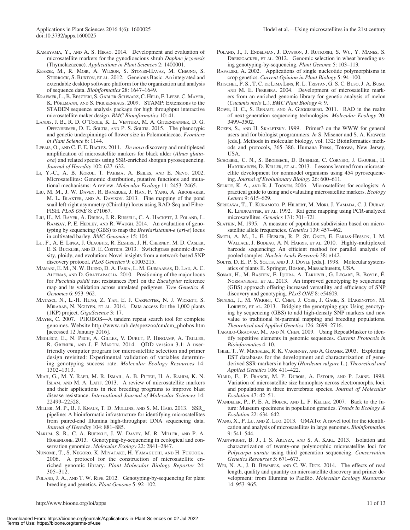- Kameyama, Y., and A. S. Hirao. 2014. Development and evaluation of microsatellite markers for the gynodioecious shrub *Daphne jezoensis* (Thymelaeaceae). *Applications in Plant Sciences* 2: 1400001.
- Kearse, M., R. Moir, A. Wilson, S. Stones-Havas, M. Cheung, S. STURROCK, S. BUXTON, ET AL. 2012. Geneious Basic: An integrated and extendable desktop software platform for the organization and analysis of sequence data. *Bioinformatics* 28: 1647–1649.
- Kraemer, L.,B.Beszteri, S. Gäbler-Schwarz,C. Held, F. Leese,C. Mayer, K. Pöhlmann, and S. Frickenhaus. 2009. STAMP: Extensions to the STADEN sequence analysis package for high throughput interactive microsatellite maker design. *BMC Bioinformatics* 10: 41.
- Landis, J. B., R. D. O'Toole, K. L. Ventura, M. A. Gitzendanner, D. G. Oppenheimer, D. E. Soltis, and P. S. Soltis. 2015. The phenotypic and genetic underpinnings of flower size in Polemoniaceae. *Frontiers in Plant Science* 6: 1144.
- Lepais, O., and C. F. E. Bacles. 2011. *De novo* discovery and multiplexed amplification of microsatellite markers for black alder (*Alnus glutinosa*) and related species using SSR-enriched shotgun pyrosequencing. *Journal of Heredity* 102: 627–632.
- Li, Y.-C., A. B. Korol, T. Fahima, A. Beiles, and E. Nevo. 2002. Microsatellites: Genomic distribution, putative functions and mutational mechanisms: A review. *Molecular Ecology* 11: 2453–2465.
- Liu, M. M., J. W. Davey, R. Banerjee, J. Han, F. Yang, A. Aboobaker, M. L. Blaxter, and A. Davison. 2013. Fine mapping of the pond snail left-right asymmetry (Chirality) locus using RAD-Seq and Fibre-FISH. *PLoS ONE* 8: e71067.
- Liu, H., M. Bayer, A. Druka, J. R. Russell, C. A. Hackett, J. Poland, L. Ramsay, P. E. Hedley, and R. Waugh. 2014. An evaluation of genotyping by sequencing (GBS) to map the *Breviaristatum-e* (*ari-e*) locus in cultivated barley. *BMC Genomics* 15: 104.
- Lu, F., A. E. Lipka, J. Glaubitz, R. Elshire, J. H. Cherney, M. D. Casler, E. S. BUCKLER, AND D. E. COSTICH. 2013. Switchgrass genomic diversity, ploidy, and evolution: Novel insights from a network-based SNP discovery protocol. *PLoS Genetics* 9: e1003215.
- Mamani, E. M., N. W. Bueno, D. A. Faria, L. M. Guimaaras, D. Lau, A. C. Alfenas, and D. Grattapaglia. 2010. Positioning of the major locus for *Puccinia psidii* rust resistances Ppr1 on the *Eucalyptus* reference map and its validation across unrelated pedigrees. *Tree Genetics & Genomes* 6: 953–962.
- Matasci, N., L.-H. Hung, Z. Yan, E. J. Carpenter, N. J. Wickett, S. Mirarab, N. Nguyen, et al. 2014. Data access for the 1,000 plants (1KP) project. *GigaScience* 3: 17.
- Mayer, C. 2007. PHOBOS—A tandem repeat search tool for complete genomes. Website [http://www.rub.de/spezzoo/cm/cm\\_phobos.htm](http://www.rub.de/spezzoo/cm/cm_phobos.htm) [accessed 12 January 2016].
- Meglécz, E., N. Pech, A. Gilles, V. Dubut, P. Hingamp, A. Trilles, R. Grenier, and J. F. Martin. 2014. QDD version 3.1: A userfriendly computer program for microsatellite selection and primer design revisited: Experimental validation of variables determining genotyping success rate. *Molecular Ecology Resources* 14: 1302–1313.
- Miah, G., M. Y. Rafii, M. R. Ismail, A. B. Puteh, H. A. Rahim, K. N. Islam, and M. A. Latif. 2013. A review of microsatellite markers and their applications in rice breeding programs to improve blast disease resistance. *International Journal of Molecular Sciences* 14: 22499–22528.
- Miller, M. P., B. J. Knaus, T. D. Mullins, and S. M. Haig. 2013. SSR\_ pipeline: A bioinformatic infrastructure for identifying microsatellites from paired-end Illumina high-throughput DNA sequencing data. *Journal of Heredity* 104: 881–885.
- Narum, S. R., C. A. Buerkle, J. W. Davey, M. R. Miller, and P. A. HOHENLOHE. 2013. Genotyping-by-sequencing in ecological and conservation genomics. *Molecular Ecology* 22: 2841–2847.
- Nunome, T., S. Negoro, K. Miyatake, H. Yamaguchi, and H. Fukuoka. 2006. A protocol for the construction of microsatellite enriched genomic library. *Plant Molecular Biology Reporter* 24: 305–312.
- POLAND, J. A., AND T. W. RIFE. 2012. Genotyping-by-sequencing for plant breeding and genetics. *Plant Genome* 5: 92–102.
- Poland, J., J. Endelman, J. Dawson, J. Rutkoski, S. Wu, Y. Manes, S. DREISIGACKER, ET AL. 2012. Genomic selection in wheat breeding using genotyping-by-sequencing. *Plant Genome* 5: 103–113.
- Rafalski, A. 2002. Applications of single nucleotide polymorphisms in crop genetics. *Current Opinion in Plant Biology* 5: 94–100.
- Ritschel, P. S., T. C. de Lima Lins, R. L. Tristan, G. S. C. Buso, J. A. Buso, and M. E. Ferreira. 2004. Development of microsatellite markers from an enriched genomic library for genetic analysis of melon (*Cucumis melo* L.). *BMC Plant Biology* 4: 9.
- Rowe, H. C., S. Renaut, and A. Guggisberg. 2011. RAD in the realm of next-generation sequencing technologies. *Molecular Ecology* 20: 3499–3502.
- ROZEN, S., AND H. SKALETSKY. 1999. Primer3 on the WWW for general users and for biologist programmers. *In* S. Misener and S. A. Krawetz [eds.], Methods in molecular biology, vol. 132: Bioinformatics methods and protocols, 365–386. Humana Press, Totowa, New Jersey, USA.
- Schoebel, C. N., S. Brodbeck, D. Buehler, C. Cornejo, J. Gajurel, H. HARTIKAINEN, D. KELLER, ET AL. 2013. Lessons learned from microsatellite development for nonmodel organisms using 454 pyrosequencing. *Journal of Evolutionary Biology* 26: 600–611.
- Selkoe, K. A., and R. J. Toonen. 2006. Microsatellites for ecologists: A practical guide to using and evaluating microsatellite markers. *Ecology Letters* 9: 615–629.
- Serikawa, T., T. Kuramoto, P. Hilbert, M. Mori, J. Yamada, C. J. Dubay, K. LINDPAINTER, ET AL. 1992. Rat gene mapping using PCR-analyzed microsatellites. *Genetics* 131: 701–721.
- SLATKIN, M. 1995. A measure of population subdivision based on microsatellite allele frequencies. *Genetics* 139: 457–462.
- Smith, A. M., L. E. Heisler, R. P. St. Onge, E. Farias-Hesson, I. M. Wallace, J. Bodeau, A. N. Harris, et al. 2010. Highly-multiplexed barcode sequencing: An efficient method for parallel analysis of pooled samples. *Nucleic Acids Research* 38: e142.
- Soltis, D. E., P. S. Soltis, and J. J. Doyle [eds.]. 1998. Molecular systematics of plants II. Springer, Boston, Massachusetts, USA.
- Sonah, H., M. Bastien, E. Iquira, A. Tardivel, G. Légaré, B. Boyle, É. NORMANDEAU, ET AL. 2013. An improved genotyping by sequencing (GBS) approach offering increased versatility and efficiency of SNP discovery and genotyping. *PLoS ONE* 8: e54603.
- SPINDEL, J., M. WRIGHT, C. CHEN, J. COBB, J. GAGE, S. HARRINGTON, M. LORIEUX, ET AL. 2013. Bridging the genotyping gap: Using genotyping by sequencing (GBS) to add high-density SNP markers and new value to traditional bi-parental mapping and breeding populations. *Theoretical and Applied Genetics* 126: 2699–2716.
- TARAILO-GRAOVAC, M., AND N. CHEN. 2009. Using RepeatMasker to identify repetitive elements in genomic sequences. *Current Protocols in Bioinformatics* 4: 10.
- Thiel, T., W. Michalek, R. K. Varshney, and A. Graner. 2003. Exploiting EST databases for the development and characterization of genederived SSR-markers in barley (*Hordeum vulgare* L.). *Theoretical and Applied Genetics* 106: 411–422.
- Viard, F., P. Franck, M. P. Dubois, A. Estoup, and P. Jarne. 1998. Variation of microsatellite size homoplasy across electromorphs, loci, and populations in three invertebrate species. *Journal of Molecular Evolution* 47: 42–51.
- Wandeler, P., P. E. A. Hoeck, and L. F. Keller. 2007. Back to the future: Museum specimens in population genetics. *Trends in Ecology & Evolution* 22: 634–642.
- WANG, X., P. LU, AND Z. LUO. 2013. GMATO: A novel tool for the identification and analysis of microsatellites in large genomes. *Bioinformation* 9: 541–544.
- Wainwright, B. J., I. S. Arlyza, and S. A. Karl. 2013. Isolation and characterization of twenty-one polymorphic microsatellite loci for *Polycarpa aurata* using third generation sequencing. *Conservation Genetics Resources* 5: 671–673.
- Wei, N. A., J. B. Bemmels, and C. W. Dick. 2014. The effects of read length, quality and quantity on microsatellite discovery and primer development: from Illumina to PacBio. *Molecular Ecology Resources* 14: 953–965.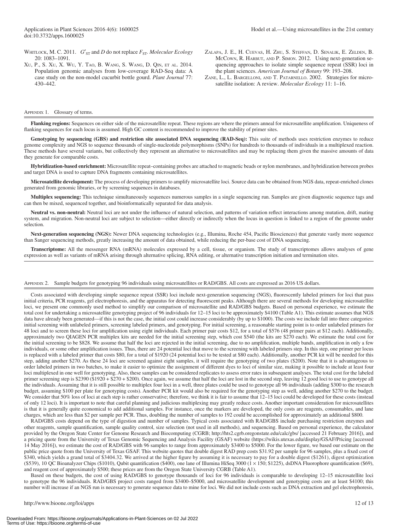WHITLOCK, M. C. 2011. *G*<sup> $\prime$ </sup><sub>ST</sub> and *D* do not replace  $F_{ST}$ *. Molecular Ecology* 20: 1083–1091.

- Xu, P., S. Xu, X. Wu, Y. Tao, B. Wang, S. Wang, D. Qin, et al. 2014. Population genomic analyses from low-coverage RAD-Seq data: A case study on the non-model cucurbit bottle gourd. *Plant Journal* 77: 430–442.
- Zalapa, J. E., H. Cuevas, H. Zhu, S. Steffan, D. Senalik, E. Zelden, B. McCown, R. Harbut, and P. Simon. 2012. Using next-generation sequencing approaches to isolate simple sequence repeat (SSR) loci in the plant sciences. *American Journal of Botany* 99: 193–208.
- Zane, L., L. Bargelloni, and T. Patarnello. 2002. Strategies for microsatellite isolation: A review. *Molecular Ecology* 11: 1–16.

#### APPENDIX 1. Glossary of terms.

**Flanking regions:** Sequences on either side of the microsatellite repeat. These regions are where the primers anneal for microsatellite amplification. Uniqueness of flanking sequences for each locus is assumed. High GC content is recommended to improve the stability of primer sites.

**Genotyping by sequencing (GBS) and restriction site associated DNA sequencing (RAD-Seq):** This suite of methods uses restriction enzymes to reduce genome complexity and NGS to sequence thousands of single-nucleotide polymorphisms (SNPs) for hundreds to thousands of individuals in a multiplexed reaction. These methods have several variants, but collectively they represent an alternative to microsatellites and may be replacing them given the massive amounts of data they generate for comparable costs.

**Hybridization-based enrichment:** Microsatellite repeat–containing probes are attached to magnetic beads or nylon membranes, and hybridization between probes and target DNA is used to capture DNA fragments containing microsatellites.

**Microsatellite development:** The process of developing primers to amplify microsatellite loci. Source data can be obtained from NGS data, repeat-enriched clones generated from genomic libraries, or by screening sequences in databases.

**Multiplex sequencing:** This technique simultaneously sequences numerous samples in a single sequencing run. Samples are given diagnostic sequence tags and can then be mixed, sequenced together, and bioinformatically separated for data analysis.

**Neutral vs. non-neutral:** Neutral loci are not under the influence of natural selection, and patterns of variation reflect interactions among mutation, drift, mating system, and migration. Non-neutral loci are subject to selection—either directly or indirectly when the locus in question is linked to a region of the genome under selection.

Next-generation sequencing (NGS): Newer DNA sequencing technologies (e.g., Illumina, Roche 454, Pacific Biosciences) that generate vastly more sequence than Sanger sequencing methods, greatly increasing the amount of data obtained, while reducing the per-base cost of DNA sequencing.

**Transcriptome:** All the messenger RNA (mRNA) molecules expressed by a cell, tissue, or organism. The study of transcriptomes allows analyses of gene expression as well as variants of mRNA arising through alternative splicing, RNA editing, or alternative transcription initiation and termination sites.

#### Appendix 2. Sample budgets for genotyping 96 individuals using microsatellites or RAD/GBS. All costs are expressed as 2016 US dollars.

Costs associated with developing simple sequence repeat (SSR) loci include next-generation sequencing (NGS), fluorescently labeled primers for loci that pass initial criteria, PCR reagents, gel electrophoresis, and the apparatus for detecting fluorescent peaks. Although there are several methods for developing microsatellite loci, we present one commonly used method to simplify our comparison of microsatellite and RAD/GBS budgets. Based on personal experience, we estimate the total cost for undertaking a microsatellite genotyping project of 96 individuals for 12–15 loci to be approximately \$4100 (Table A1). This estimate assumes that NGS data have already been generated—if this is not the case, the initial cost could increase considerably (by up to \$1000). The costs we include fall into three categories: initial screening with unlabeled primers, screening labeled primers, and genotyping. For initial screening, a reasonable starting point is to order unlabeled primers for 48 loci and to screen these loci for amplification using eight individuals. Each primer pair costs \$12, for a total of \$576 (48 primer pairs at \$12 each). Additionally, approximately two QIAGEN PCR multiplex kits are needed for the initial screening step, which cost \$540 (the kits are \$270 each). We estimate the total cost for the initial screening to be \$828. We assume that half the loci are rejected in the initial screening, due to no amplification, multiple bands, amplification in only a few individuals, or some other amplification issues. Thus, there are 24 potential loci that move to the screening with labeled primers step. In this step, one primer per locus is replaced with a labeled primer that costs \$80, for a total of \$1920 (24 potential loci to be tested at \$80 each). Additionally, another PCR kit will be needed for this step, adding another \$270. As these 24 loci are screened against eight samples, it will require the genotyping of two plates (\$200). Note that it is advantageous to order labeled primers in two batches, to make it easier to optimize the assignment of different dyes to loci of similar size, making it possible to include at least four loci multiplexed in one well for genotyping. Also, these samples can be considered replicates to assess error rates in subsequent analyses. The total cost for the labeled primer screening step is \$2390 (\$1920 + \$270 + \$200). Once again, we assume that half the loci are lost in the second step, leaving 12 good loci to use to genotype all the individuals. Assuming that it is still possible to multiplex four loci in a well, three plates could be used to genotype all 96 individuals (adding \$300 to the research budget, assuming \$100 per plate for genotyping costs). Another PCR kit would also be required for the genotyping step as well, adding another \$270 to the budget. We consider that 50% loss of loci at each step is rather conservative; therefore, we think it is fair to assume that 12-15 loci could be developed for these costs (instead of only 12 loci). It is important to note that careful planning and judicious multiplexing may greatly reduce costs. Another important consideration for microsatellites is that it is generally quite economical to add additional samples. For instance, once the markers are developed, the only costs are reagents, consumables, and lane charges, which are less than \$2 per sample per PCR. Thus, doubling the number of samples to 192 could be accomplished for approximately an additional \$800.

RAD/GBS costs depend on the type of digestion and number of samples. Typical costs associated with RAD/GBS include purchasing restriction enzymes and other reagents, sample quantification, sample quality control, size selection (not used in all methods), and sequencing. Based on personal experience, the calculator provided by the Oregon State Center for Genome Research and Biocomputing (CGRB;<http://hts2.cgrb.oregonstate.edu/calc/gbs/>[accessed 21 February 2016]), and a pricing quote from the University of Texas Genomic Sequencing and Analysis Facility (GSAF) website [\(https://wikis.utexas.edu/display/GSAF/Pricing](https://wikis.utexas.edu/display/GSAF/Pricing) [accessed 14 May 2016]), we estimate the cost of RAD/GBS with 96 samples to range from approximately \$3400 to \$5000. For the lower figure, we based our estimate on the public price quote from the University of Texas GSAF. This website quotes that double digest RAD prep costs \$31.92 per sample for 96 samples, plus a fixed cost of \$340, which yields a grand total of \$3404.32. We arrived at the higher figure by assuming it is necessary to pay for a double digest (\$1261), digest optimization (\$539), 10 QC Bioanalyzer Chips (\$1010), Qubit quantification (\$400), one lane of Illumina HiSeq 3000 (1 × 150; \$1225), dsDNA Fluorophore quantification (\$69), and reagent cost of approximately \$500; these prices are from the Oregon State University CGRB (Table A1).

Based on these budgets, the cost of using RAD/GBS to genotype thousands of loci for 96 individuals is comparable to developing 12–15 microsatellite loci to genotype the 96 individuals. RAD/GBS project costs ranged from \$3400–\$5000, and microsatellite development and genotyping costs are at least \$4100; this number will increase if an NGS run is necessary to generate sequence data to mine for loci. We did not include costs such as DNA extraction and gel electrophoresis,